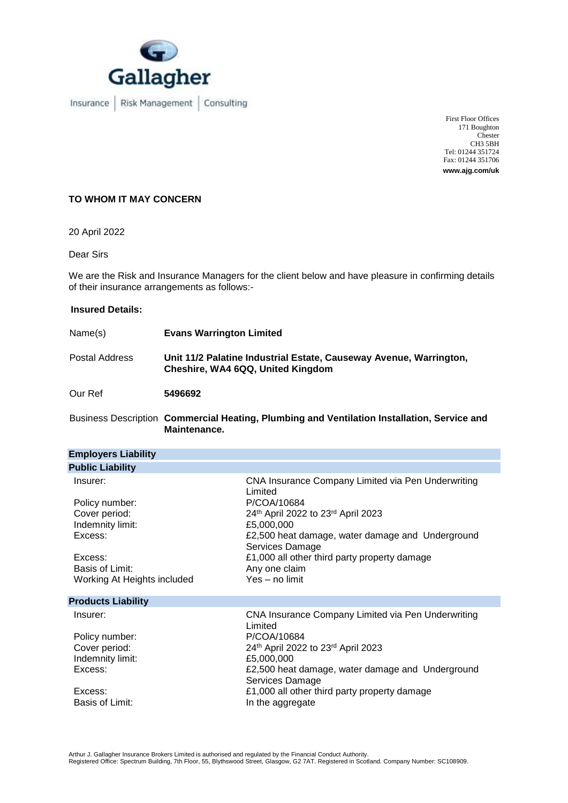

Insurance | Risk Management | Consulting

First Floor Offices 171 Boughton Chester CH3 5BH Tel: 01244 351724 Fax: 01244 351706 **www.ajg.com/uk**

### **TO WHOM IT MAY CONCERN**

20 April 2022

Dear Sirs

We are the Risk and Insurance Managers for the client below and have pleasure in confirming details of their insurance arrangements as follows:-

## **Insured Details:**

| Name(s)        | <b>Evans Warrington Limited</b>                                                                         |
|----------------|---------------------------------------------------------------------------------------------------------|
| Postal Address | Unit 11/2 Palatine Industrial Estate, Causeway Avenue, Warrington,<br>Cheshire, WA4 6QQ, United Kingdom |
| Our Ref        | 5496692                                                                                                 |

Business Description **Commercial Heating, Plumbing and Ventilation Installation, Service and Maintenance.**

| <b>Employers Liability</b>                                                                               |                                                                                                                                                                                                                                                                          |  |  |
|----------------------------------------------------------------------------------------------------------|--------------------------------------------------------------------------------------------------------------------------------------------------------------------------------------------------------------------------------------------------------------------------|--|--|
| <b>Public Liability</b>                                                                                  |                                                                                                                                                                                                                                                                          |  |  |
| Insurer:<br>Policy number:<br>Cover period:<br>Indemnity limit:<br>Excess:<br>Excess:<br>Basis of Limit: | CNA Insurance Company Limited via Pen Underwriting<br>Limited<br>P/COA/10684<br>24th April 2022 to 23rd April 2023<br>£5,000,000<br>£2,500 heat damage, water damage and Underground<br>Services Damage<br>£1,000 all other third party property damage<br>Any one claim |  |  |
| Working At Heights included                                                                              | Yes – no limit                                                                                                                                                                                                                                                           |  |  |
| <b>Products Liability</b>                                                                                |                                                                                                                                                                                                                                                                          |  |  |
| Insurer:<br>Policy number:<br>Cover period:<br>Indemnity limit:<br>Excess:                               | CNA Insurance Company Limited via Pen Underwriting<br>Limited<br>P/COA/10684<br>24th April 2022 to 23rd April 2023<br>£5,000,000<br>£2,500 heat damage, water damage and Underground<br>Services Damage                                                                  |  |  |
| Excess:<br>Basis of Limit:                                                                               | £1,000 all other third party property damage<br>In the aggregate                                                                                                                                                                                                         |  |  |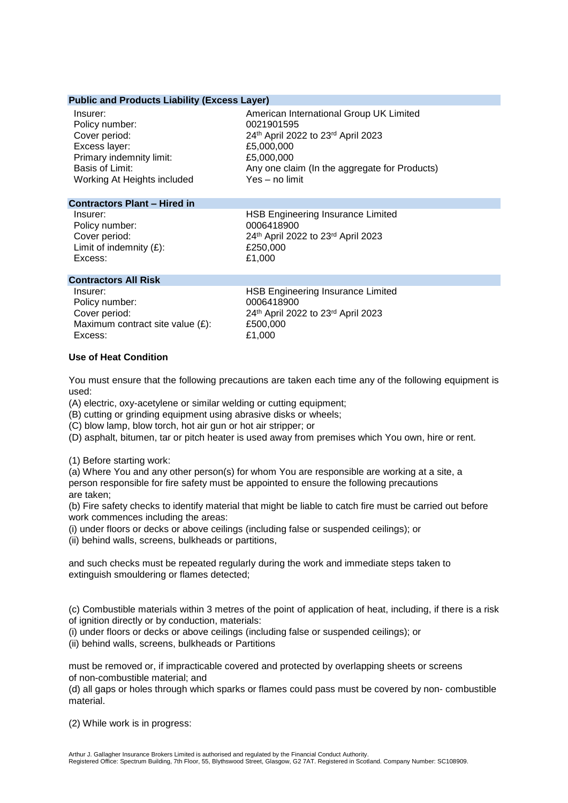### **Public and Products Liability (Excess Layer)**

| Insurer:                    | American International Group UK Limited       |
|-----------------------------|-----------------------------------------------|
| Policy number:              | 0021901595                                    |
| Cover period:               | 24th April 2022 to 23rd April 2023            |
| Excess layer:               | £5,000,000                                    |
| Primary indemnity limit:    | £5,000,000                                    |
| Basis of Limit:             | Any one claim (In the aggregate for Products) |
| Working At Heights included | Yes - no limit                                |

### **Contractors Plant – Hired in**

Policy number:<br>Cover period: Limit of indemnity  $(E)$ :<br>Excess:

Insurer: The United Engineering Insurance Limited<br>  $10006418900$ <br>  $0006418900$ 24<sup>th</sup> April 2022 to 23<sup>rd</sup> April 2023<br>£250,000 £1,000

### **Contractors All Risk**

Insurer: HSB Engineering Insurance Limited Policy number: 0006418900 Cover period:  $24<sup>th</sup>$  April 2022 to 23<sup>rd</sup> April 2023<br>Maximum contract site value (£):  $£500.000$ Maximum contract site value  $(E)$ :  $E500,00$ <br>Excess:  $E1,000$ Excess:

### **Use of Heat Condition**

You must ensure that the following precautions are taken each time any of the following equipment is used:

(A) electric, oxy-acetylene or similar welding or cutting equipment;

(B) cutting or grinding equipment using abrasive disks or wheels;

(C) blow lamp, blow torch, hot air gun or hot air stripper; or

(D) asphalt, bitumen, tar or pitch heater is used away from premises which You own, hire or rent.

(1) Before starting work:

(a) Where You and any other person(s) for whom You are responsible are working at a site, a person responsible for fire safety must be appointed to ensure the following precautions are taken;

(b) Fire safety checks to identify material that might be liable to catch fire must be carried out before work commences including the areas:

(i) under floors or decks or above ceilings (including false or suspended ceilings); or

(ii) behind walls, screens, bulkheads or partitions,

and such checks must be repeated regularly during the work and immediate steps taken to extinguish smouldering or flames detected;

(c) Combustible materials within 3 metres of the point of application of heat, including, if there is a risk of ignition directly or by conduction, materials:

(i) under floors or decks or above ceilings (including false or suspended ceilings); or

(ii) behind walls, screens, bulkheads or Partitions

must be removed or, if impracticable covered and protected by overlapping sheets or screens of non-combustible material; and

(d) all gaps or holes through which sparks or flames could pass must be covered by non- combustible material.

(2) While work is in progress: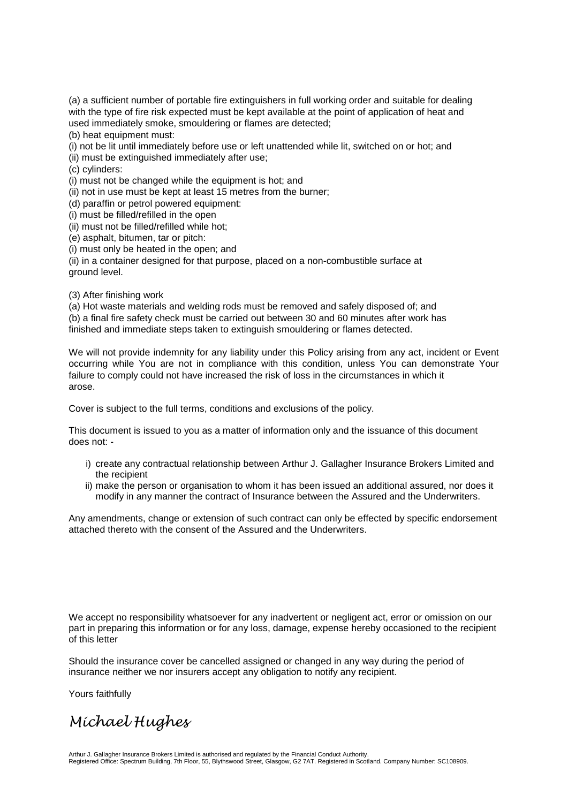(a) a sufficient number of portable fire extinguishers in full working order and suitable for dealing with the type of fire risk expected must be kept available at the point of application of heat and used immediately smoke, smouldering or flames are detected;

(b) heat equipment must:

(i) not be lit until immediately before use or left unattended while lit, switched on or hot; and

(ii) must be extinguished immediately after use;

(c) cylinders:

(i) must not be changed while the equipment is hot; and

(ii) not in use must be kept at least 15 metres from the burner;

(d) paraffin or petrol powered equipment:

(i) must be filled/refilled in the open

(ii) must not be filled/refilled while hot;

(e) asphalt, bitumen, tar or pitch:

(i) must only be heated in the open; and

(ii) in a container designed for that purpose, placed on a non-combustible surface at ground level.

(3) After finishing work

(a) Hot waste materials and welding rods must be removed and safely disposed of; and (b) a final fire safety check must be carried out between 30 and 60 minutes after work has finished and immediate steps taken to extinguish smouldering or flames detected.

We will not provide indemnity for any liability under this Policy arising from any act, incident or Event occurring while You are not in compliance with this condition, unless You can demonstrate Your failure to comply could not have increased the risk of loss in the circumstances in which it arose.

Cover is subject to the full terms, conditions and exclusions of the policy.

This document is issued to you as a matter of information only and the issuance of this document does not: -

- i) create any contractual relationship between Arthur J. Gallagher Insurance Brokers Limited and the recipient
- ii) make the person or organisation to whom it has been issued an additional assured, nor does it modify in any manner the contract of Insurance between the Assured and the Underwriters.

Any amendments, change or extension of such contract can only be effected by specific endorsement attached thereto with the consent of the Assured and the Underwriters.

We accept no responsibility whatsoever for any inadvertent or negligent act, error or omission on our part in preparing this information or for any loss, damage, expense hereby occasioned to the recipient of this letter

Should the insurance cover be cancelled assigned or changed in any way during the period of insurance neither we nor insurers accept any obligation to notify any recipient.

Yours faithfully

# *Michael Hughes*